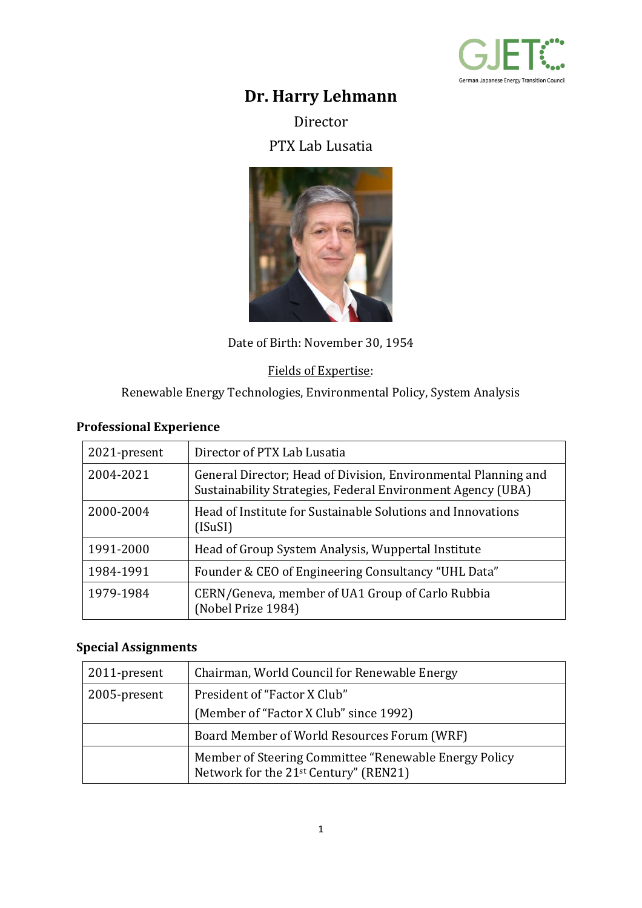

# **Dr. Harry Lehmann**

Director

PTX Lab Lusatia



Date of Birth: November 30, 1954

#### Fields of Expertise:

Renewable Energy Technologies, Environmental Policy, System Analysis

## **Professional Experience**

| 2021-present | Director of PTX Lab Lusatia                                                                                                   |
|--------------|-------------------------------------------------------------------------------------------------------------------------------|
| 2004-2021    | General Director; Head of Division, Environmental Planning and<br>Sustainability Strategies, Federal Environment Agency (UBA) |
| 2000-2004    | Head of Institute for Sustainable Solutions and Innovations<br>(ISuSI)                                                        |
| 1991-2000    | Head of Group System Analysis, Wuppertal Institute                                                                            |
| 1984-1991    | Founder & CEO of Engineering Consultancy "UHL Data"                                                                           |
| 1979-1984    | CERN/Geneva, member of UA1 Group of Carlo Rubbia<br>(Nobel Prize 1984)                                                        |

#### **Special Assignments**

| 2011-present | Chairman, World Council for Renewable Energy                                                   |
|--------------|------------------------------------------------------------------------------------------------|
| 2005-present | President of "Factor X Club"                                                                   |
|              | (Member of "Factor X Club" since 1992)                                                         |
|              | Board Member of World Resources Forum (WRF)                                                    |
|              | Member of Steering Committee "Renewable Energy Policy<br>Network for the 21st Century" (REN21) |